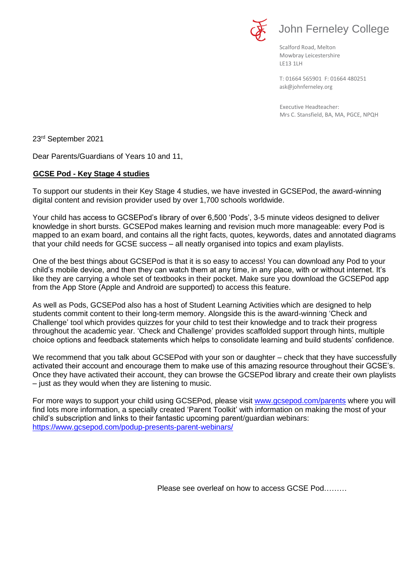

Scalford Road, Melton Mowbray Leicestershire LE13 1LH

[ask@johnferneley.org](mailto:ask@johnferneley.org) T: 01664 565901 F: 01664 480251

 Executive Headteacher: Mrs C. Stansfield, BA, MA, PGCE, NPQH

23 rd September 2021

Dear Parents/Guardians of Years 10 and 11,

## **GCSE Pod - Key Stage 4 studies**

To support our students in their Key Stage 4 studies, we have invested in GCSEPod, the award-winning digital content and revision provider used by over 1,700 schools worldwide.

Your child has access to GCSEPod's library of over 6,500 'Pods', 3-5 minute videos designed to deliver knowledge in short bursts. GCSEPod makes learning and revision much more manageable: every Pod is mapped to an exam board, and contains all the right facts, quotes, keywords, dates and annotated diagrams that your child needs for GCSE success – all neatly organised into topics and exam playlists.

One of the best things about GCSEPod is that it is so easy to access! You can download any Pod to your child's mobile device, and then they can watch them at any time, in any place, with or without internet. It's like they are carrying a whole set of textbooks in their pocket. Make sure you download the GCSEPod app from the App Store (Apple and Android are supported) to access this feature.

As well as Pods, GCSEPod also has a host of Student Learning Activities which are designed to help students commit content to their long-term memory. Alongside this is the award-winning 'Check and Challenge' tool which provides quizzes for your child to test their knowledge and to track their progress throughout the academic year. 'Check and Challenge' provides scaffolded support through hints, multiple choice options and feedback statements which helps to consolidate learning and build students' confidence.

We recommend that you talk about GCSEPod with your son or daughter – check that they have successfully activated their account and encourage them to make use of this amazing resource throughout their GCSE's. Once they have activated their account, they can browse the GCSEPod library and create their own playlists – just as they would when they are listening to music.

For more ways to support your child using GCSEPod, please visit [www.gcsepod.com/parents](http://www.gcsepod.com/parents) where you will find lots more information, a specially created 'Parent Toolkit' with information on making the most of your child's subscription and links to their fantastic upcoming parent/guardian webinars: <https://www.gcsepod.com/podup-presents-parent-webinars/>

Please see overleaf on how to access GCSE Pod………